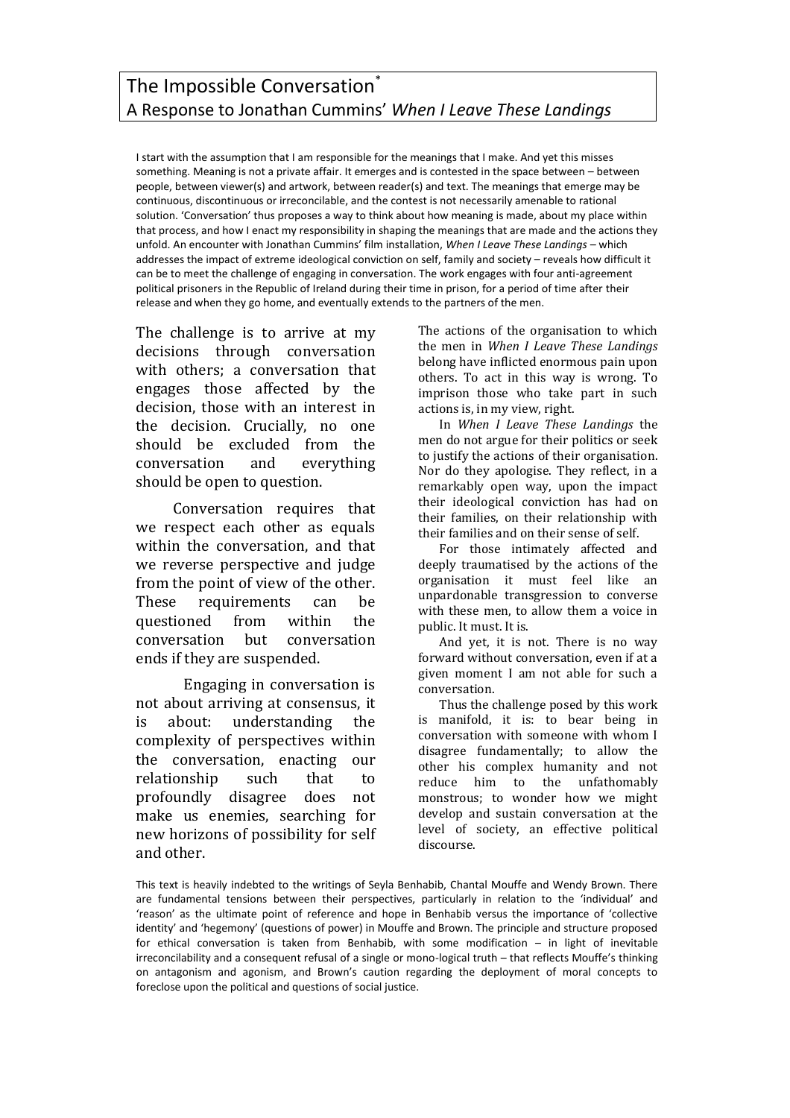## The Impossible Conversation<sup>\*</sup> A Response to Jonathan Cummins' *When I Leave These Landings*

I start with the assumption that I am responsible for the meanings that I make. And yet this misses something. Meaning is not a private affair. It emerges and is contested in the space between – between people, between viewer(s) and artwork, between reader(s) and text. The meanings that emerge may be continuous, discontinuous or irreconcilable, and the contest is not necessarily amenable to rational solution. 'Conversation' thus proposes a way to think about how meaning is made, about my place within that process, and how I enact my responsibility in shaping the meanings that are made and the actions they unfold. An encounter with Jonathan Cummins' film installation, *When I Leave These Landings* – which addresses the impact of extreme ideological conviction on self, family and society – reveals how difficult it can be to meet the challenge of engaging in conversation. The work engages with four anti-agreement political prisoners in the Republic of Ireland during their time in prison, for a period of time after their release and when they go home, and eventually extends to the partners of the men.

The challenge is to arrive at my decisions through conversation with others; a conversation that engages those affected by the decision, those with an interest in the decision. Crucially, no one should be excluded from the conversation and everything should be open to question.

Conversation requires that we respect each other as equals within the conversation, and that we reverse perspective and judge from the point of view of the other. These requirements can be questioned from within the conversation but conversation ends if they are suspended.

Engaging in conversation is not about arriving at consensus, it is about: understanding the complexity of perspectives within the conversation, enacting our relationship such that to profoundly disagree does not make us enemies, searching for new horizons of possibility for self and other.

The actions of the organisation to which the men in *When I Leave These Landings* belong have inflicted enormous pain upon others. To act in this way is wrong. To imprison those who take part in such actions is, in my view, right.

In *When I Leave These Landings* the men do not argue for their politics or seek to justify the actions of their organisation. Nor do they apologise. They reflect, in a remarkably open way, upon the impact their ideological conviction has had on their families, on their relationship with their families and on their sense of self.

For those intimately affected and deeply traumatised by the actions of the organisation it must feel like an unpardonable transgression to converse with these men, to allow them a voice in public. It must. It is.

And yet, it is not. There is no way forward without conversation, even if at a given moment I am not able for such a conversation.

Thus the challenge posed by this work is manifold, it is: to bear being in conversation with someone with whom I disagree fundamentally; to allow the other his complex humanity and not reduce him to the unfathomably monstrous; to wonder how we might develop and sustain conversation at the level of society, an effective political discourse.

This text is heavily indebted to the writings of Seyla Benhabib, Chantal Mouffe and Wendy Brown. There are fundamental tensions between their perspectives, particularly in relation to the 'individual' and 'reason' as the ultimate point of reference and hope in Benhabib versus the importance of 'collective identity' and 'hegemony' (questions of power) in Mouffe and Brown. The principle and structure proposed for ethical conversation is taken from Benhabib, with some modification – in light of inevitable irreconcilability and a consequent refusal of a single or mono-logical truth – that reflects Mouffe's thinking on antagonism and agonism, and Brown's caution regarding the deployment of moral concepts to foreclose upon the political and questions of social justice.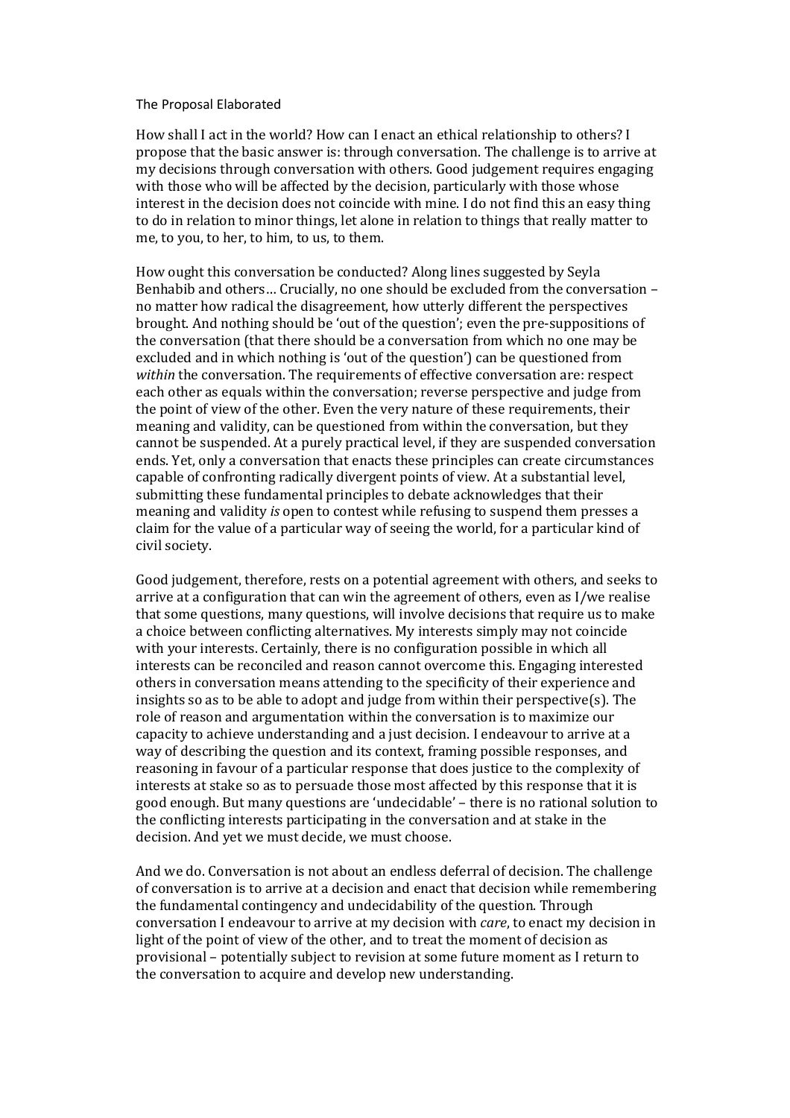## The Proposal Elaborated

How shall I act in the world? How can I enact an ethical relationship to others? I propose that the basic answer is: through conversation. The challenge is to arrive at my decisions through conversation with others. Good judgement requires engaging with those who will be affected by the decision, particularly with those whose interest in the decision does not coincide with mine. I do not find this an easy thing to do in relation to minor things, let alone in relation to things that really matter to me, to you, to her, to him, to us, to them.

How ought this conversation be conducted? Along lines suggested by Seyla Benhabib and others… Crucially, no one should be excluded from the conversation – no matter how radical the disagreement, how utterly different the perspectives brought. And nothing should be 'out of the question'; even the pre-suppositions of the conversation (that there should be a conversation from which no one may be excluded and in which nothing is 'out of the question') can be questioned from *within* the conversation. The requirements of effective conversation are: respect each other as equals within the conversation; reverse perspective and judge from the point of view of the other. Even the very nature of these requirements, their meaning and validity, can be questioned from within the conversation, but they cannot be suspended. At a purely practical level, if they are suspended conversation ends. Yet, only a conversation that enacts these principles can create circumstances capable of confronting radically divergent points of view. At a substantial level, submitting these fundamental principles to debate acknowledges that their meaning and validity *is* open to contest while refusing to suspend them presses a claim for the value of a particular way of seeing the world, for a particular kind of civil society.

Good judgement, therefore, rests on a potential agreement with others, and seeks to arrive at a configuration that can win the agreement of others, even as I/we realise that some questions, many questions, will involve decisions that require us to make a choice between conflicting alternatives. My interests simply may not coincide with your interests. Certainly, there is no configuration possible in which all interests can be reconciled and reason cannot overcome this. Engaging interested others in conversation means attending to the specificity of their experience and insights so as to be able to adopt and judge from within their perspective(s). The role of reason and argumentation within the conversation is to maximize our capacity to achieve understanding and a just decision. I endeavour to arrive at a way of describing the question and its context, framing possible responses, and reasoning in favour of a particular response that does justice to the complexity of interests at stake so as to persuade those most affected by this response that it is good enough. But many questions are 'undecidable' – there is no rational solution to the conflicting interests participating in the conversation and at stake in the decision. And yet we must decide, we must choose.

And we do. Conversation is not about an endless deferral of decision. The challenge of conversation is to arrive at a decision and enact that decision while remembering the fundamental contingency and undecidability of the question. Through conversation I endeavour to arrive at my decision with *care*, to enact my decision in light of the point of view of the other, and to treat the moment of decision as provisional – potentially subject to revision at some future moment as I return to the conversation to acquire and develop new understanding.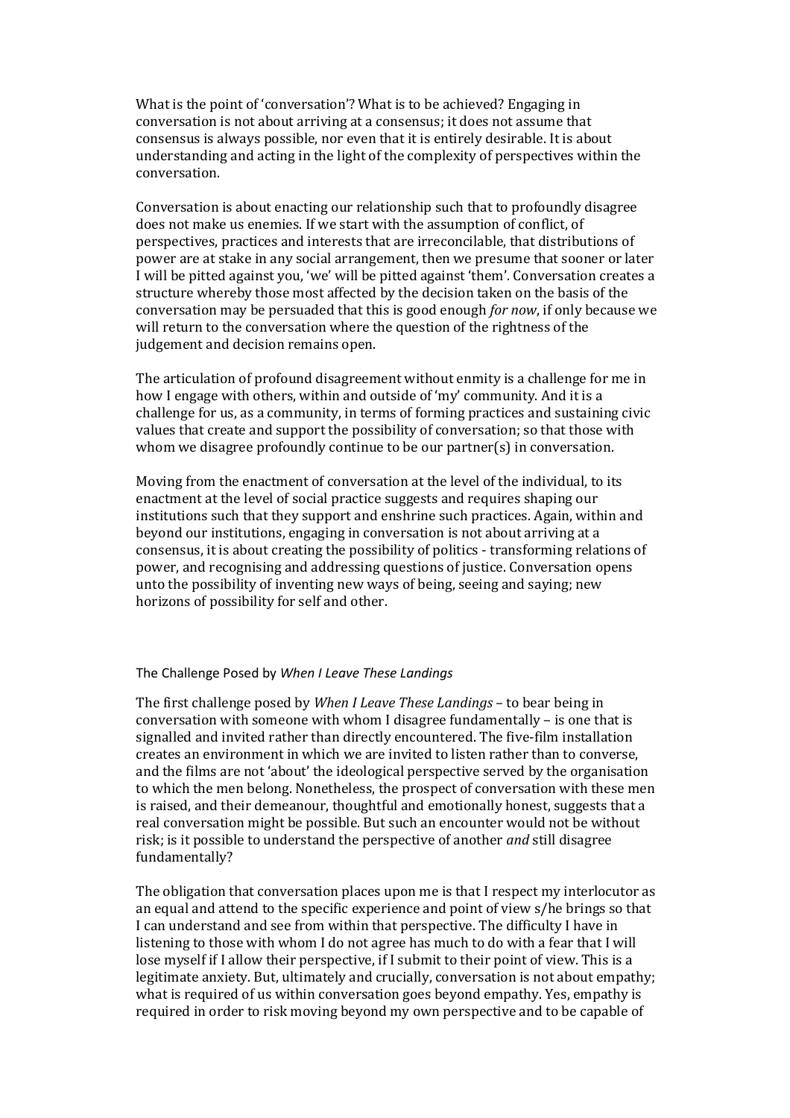What is the point of 'conversation'? What is to be achieved? Engaging in conversation is not about arriving at a consensus; it does not assume that consensus is always possible, nor even that it is entirely desirable. It is about understanding and acting in the light of the complexity of perspectives within the conversation.

Conversation is about enacting our relationship such that to profoundly disagree does not make us enemies. If we start with the assumption of conflict, of perspectives, practices and interests that are irreconcilable, that distributions of power are at stake in any social arrangement, then we presume that sooner or later I will be pitted against you, 'we' will be pitted against 'them'. Conversation creates a structure whereby those most affected by the decision taken on the basis of the conversation may be persuaded that this is good enough *for now*, if only because we will return to the conversation where the question of the rightness of the judgement and decision remains open.

The articulation of profound disagreement without enmity is a challenge for me in how I engage with others, within and outside of 'my' community. And it is a challenge for us, as a community, in terms of forming practices and sustaining civic values that create and support the possibility of conversation; so that those with whom we disagree profoundly continue to be our partner(s) in conversation.

Moving from the enactment of conversation at the level of the individual, to its enactment at the level of social practice suggests and requires shaping our institutions such that they support and enshrine such practices. Again, within and beyond our institutions, engaging in conversation is not about arriving at a consensus, it is about creating the possibility of politics - transforming relations of power, and recognising and addressing questions of justice. Conversation opens unto the possibility of inventing new ways of being, seeing and saying; new horizons of possibility for self and other.

## The Challenge Posed by *When I Leave These Landings*

The first challenge posed by *When I Leave These Landings* – to bear being in conversation with someone with whom I disagree fundamentally – is one that is signalled and invited rather than directly encountered. The five-film installation creates an environment in which we are invited to listen rather than to converse, and the films are not 'about' the ideological perspective served by the organisation to which the men belong. Nonetheless, the prospect of conversation with these men is raised, and their demeanour, thoughtful and emotionally honest, suggests that a real conversation might be possible. But such an encounter would not be without risk; is it possible to understand the perspective of another *and* still disagree fundamentally?

The obligation that conversation places upon me is that I respect my interlocutor as an equal and attend to the specific experience and point of view s/he brings so that I can understand and see from within that perspective. The difficulty I have in listening to those with whom I do not agree has much to do with a fear that I will lose myself if I allow their perspective, if I submit to their point of view. This is a legitimate anxiety. But, ultimately and crucially, conversation is not about empathy; what is required of us within conversation goes beyond empathy. Yes, empathy is required in order to risk moving beyond my own perspective and to be capable of